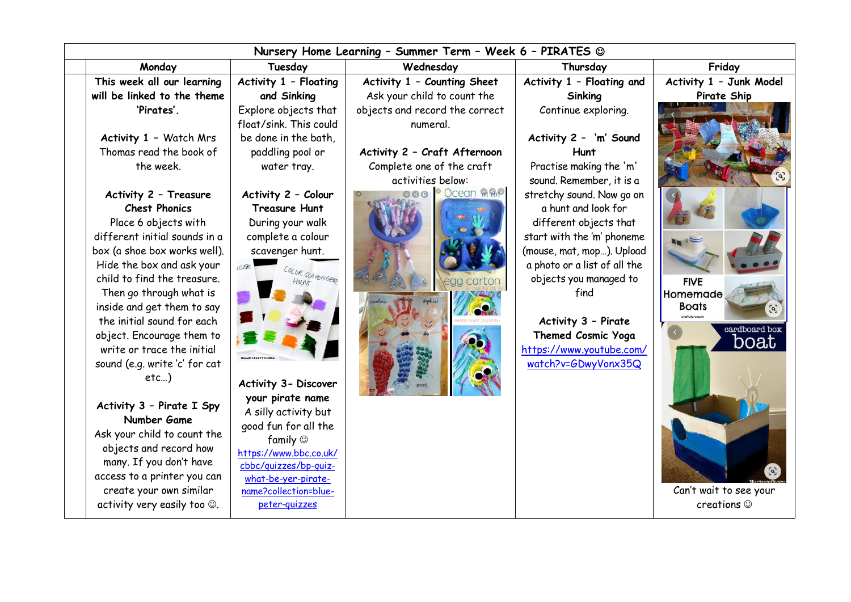| Nursery Home Learning - Summer Term - Week 6 - PIRATES @ |                                          |                                |                                                        |                          |
|----------------------------------------------------------|------------------------------------------|--------------------------------|--------------------------------------------------------|--------------------------|
| Monday                                                   | Tuesday                                  | Wednesday                      | Thursday                                               | Friday                   |
| This week all our learning                               | Activity 1 - Floating                    | Activity 1 - Counting Sheet    | Activity 1 - Floating and                              | Activity 1 - Junk Model  |
| will be linked to the theme                              | and Sinking                              | Ask your child to count the    | Sinking                                                | Pirate Ship              |
| 'Pirates'.                                               | Explore objects that                     | objects and record the correct | Continue exploring.                                    |                          |
|                                                          | float/sink. This could                   | numeral.                       |                                                        |                          |
| Activity 1 - Watch Mrs                                   | be done in the bath.                     |                                | Activity 2 - 'm' Sound                                 |                          |
| Thomas read the book of                                  | paddling pool or                         | Activity 2 - Craft Afternoon   | Hunt                                                   |                          |
| the week.                                                | water tray.                              | Complete one of the craft      | Practise making the 'm'                                |                          |
|                                                          |                                          | activities below:              | sound. Remember, it is a                               |                          |
| Activity 2 - Treasure                                    | Activity 2 - Colour                      | <b>OOO OCEAN ARAP</b>          | stretchy sound. Now go on                              |                          |
| <b>Chest Phonics</b>                                     | <b>Treasure Hunt</b>                     |                                | a hunt and look for                                    |                          |
| Place 6 objects with                                     | During your walk                         |                                | different objects that                                 |                          |
| different initial sounds in a                            | complete a colour                        |                                | start with the 'm' phoneme                             | $\overline{\phantom{a}}$ |
| box (a shoe box works well).                             | scavenger hunt.                          |                                | (mouse, mat, mop). Upload                              |                          |
| Hide the box and ask your<br>child to find the treasure. | IGER                                     |                                | a photo or a list of all the<br>objects you managed to |                          |
| Then go through what is                                  |                                          |                                | find                                                   | <b>FIVE</b><br>Homemade  |
| inside and get them to say                               |                                          |                                |                                                        | <b>Boats</b>             |
| the initial sound for each                               |                                          |                                | Activity 3 - Pirate                                    |                          |
| object. Encourage them to                                |                                          |                                | Themed Cosmic Yoga                                     | cardboard box            |
| write or trace the initial                               |                                          |                                | https://www.youtube.com/                               | boat                     |
| sound (e.g. write 'c' for cat                            |                                          |                                | watch?v=GDwyVonx35Q                                    |                          |
| $etc$ )                                                  |                                          |                                |                                                        |                          |
|                                                          | Activity 3- Discover                     |                                |                                                        |                          |
| Activity 3 - Pirate I Spy                                | your pirate name<br>A silly activity but |                                |                                                        |                          |
| Number Game                                              | good fun for all the                     |                                |                                                        |                          |
| Ask your child to count the                              | family $\circledcirc$                    |                                |                                                        |                          |
| objects and record how                                   | https://www.bbc.co.uk/                   |                                |                                                        |                          |
| many. If you don't have                                  | cbbc/quizzes/bp-quiz-                    |                                |                                                        |                          |
| access to a printer you can                              | what-be-yer-pirate-                      |                                |                                                        |                          |
| create your own similar                                  | name?collection=blue-                    |                                |                                                        | Can't wait to see your   |
| activity very easily too $\odot$ .                       | peter-quizzes                            |                                |                                                        | creations $\odot$        |